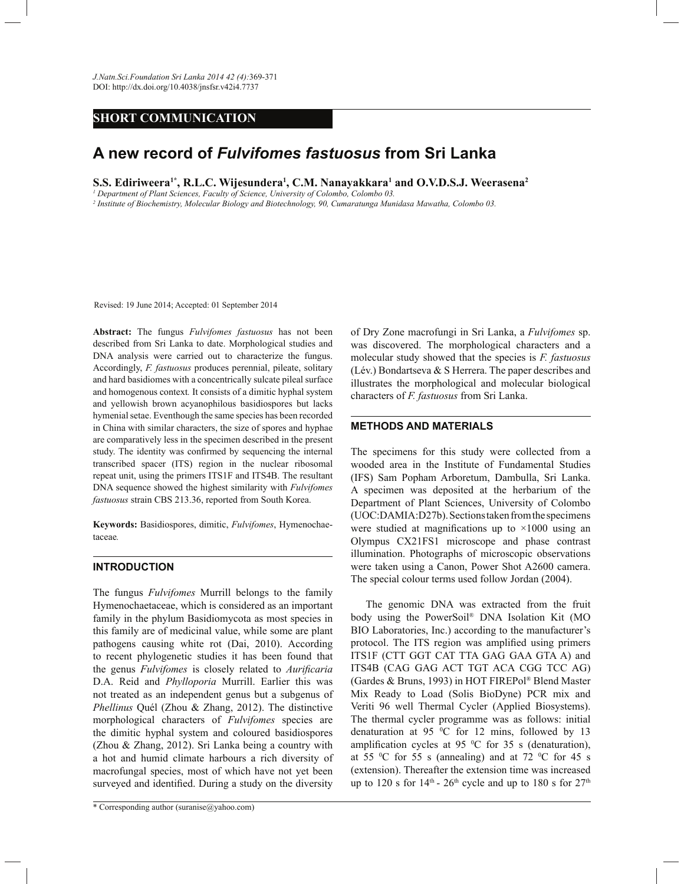# **SHORT COMMUNICATION**

# **A new record of** *Fulvifomes fastuosus* **from Sri Lanka**

**S.S. Ediriweera1\*, R.L.C. Wijesundera<sup>1</sup> , C.M. Nanayakkara<sup>1</sup> and O.V.D.S.J. Weerasena<sup>2</sup>**

*1 Department of Plant Sciences, Faculty of Science, University of Colombo, Colombo 03.*

*2 Institute of Biochemistry, Molecular Biology and Biotechnology, 90, Cumaratunga Munidasa Mawatha, Colombo 03.*

Revised: 19 June 2014; Accepted: 01 September 2014

**Abstract:** The fungus *Fulvifomes fastuosus* has not been described from Sri Lanka to date. Morphological studies and DNA analysis were carried out to characterize the fungus. Accordingly, *F. fastuosus* produces perennial, pileate, solitary and hard basidiomes with a concentrically sulcate pileal surface and homogenous context*.* It consists of a dimitic hyphal system and yellowish brown acyanophilous basidiospores but lacks hymenial setae. Eventhough the same species has been recorded in China with similar characters, the size of spores and hyphae are comparatively less in the specimen described in the present study. The identity was confirmed by sequencing the internal transcribed spacer (ITS) region in the nuclear ribosomal repeat unit, using the primers ITS1F and ITS4B. The resultant DNA sequence showed the highest similarity with *Fulvifomes fastuosus* strain CBS 213.36, reported from South Korea.

**Keywords:** Basidiospores, dimitic, *Fulvifomes*, Hymenochaetaceae*.*

# **INTRODUCTION**

The fungus *Fulvifomes* Murrill belongs to the family Hymenochaetaceae, which is considered as an important family in the phylum Basidiomycota as most species in this family are of medicinal value, while some are plant pathogens causing white rot (Dai, 2010). According to recent phylogenetic studies it has been found that the genus *Fulvifomes* is closely related to *Aurificaria*  D.A. Reid and *Phylloporia* Murrill. Earlier this was not treated as an independent genus but a subgenus of *Phellinus* Quél (Zhou & Zhang, 2012). The distinctive morphological characters of *Fulvifomes* species are the dimitic hyphal system and coloured basidiospores (Zhou & Zhang, 2012). Sri Lanka being a country with a hot and humid climate harbours a rich diversity of macrofungal species, most of which have not yet been surveyed and identified. During a study on the diversity

of Dry Zone macrofungi in Sri Lanka, a *Fulvifomes* sp. was discovered. The morphological characters and a molecular study showed that the species is *F. fastuosus*  (Lév.) Bondartseva & S Herrera. The paper describes and illustrates the morphological and molecular biological characters of *F. fastuosus* from Sri Lanka.

32.2014

### **METHODS AND MATERIALS**

The specimens for this study were collected from a wooded area in the Institute of Fundamental Studies (IFS) Sam Popham Arboretum, Dambulla, Sri Lanka. A specimen was deposited at the herbarium of the Department of Plant Sciences, University of Colombo (UOC:DAMIA:D27b). Sections taken from the specimens were studied at magnifications up to  $\times 1000$  using an Olympus CX21FS1 microscope and phase contrast illumination. Photographs of microscopic observations were taken using a Canon, Power Shot A2600 camera. The special colour terms used follow Jordan (2004).

 The genomic DNA was extracted from the fruit body using the PowerSoil® DNA Isolation Kit (MO BIO Laboratories, Inc.) according to the manufacturer's protocol. The ITS region was amplified using primers ITS1F (CTT GGT CAT TTA GAG GAA GTA A) and ITS4B (CAG GAG ACT TGT ACA CGG TCC AG) (Gardes & Bruns, 1993) in HOT FIREPol® Blend Master Mix Ready to Load (Solis BioDyne) PCR mix and Veriti 96 well Thermal Cycler (Applied Biosystems). The thermal cycler programme was as follows: initial denaturation at 95  $\mathrm{^0C}$  for 12 mins, followed by 13 amplification cycles at 95  $\degree$ C for 35 s (denaturation), at 55  $\degree$ C for 55 s (annealing) and at 72  $\degree$ C for 45 s (extension). Thereafter the extension time was increased up to 120 s for  $14<sup>th</sup>$  -  $26<sup>th</sup>$  cycle and up to 180 s for  $27<sup>th</sup>$ 

<sup>\*</sup> Corresponding author (suranise@yahoo.com)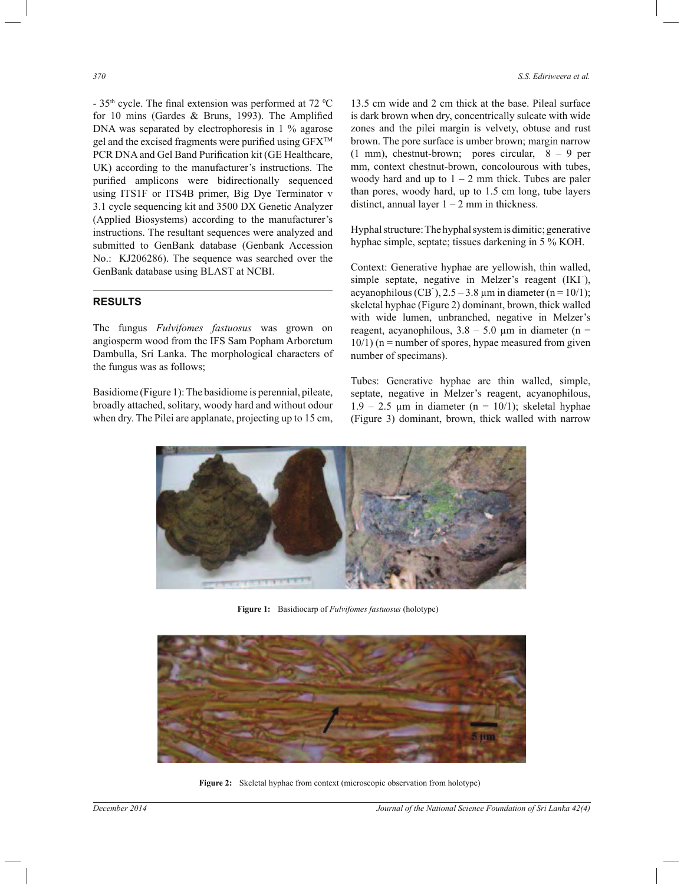- 35<sup>th</sup> cycle. The final extension was performed at 72 <sup>o</sup>C for 10 mins (Gardes & Bruns, 1993). The Amplified DNA was separated by electrophoresis in 1 % agarose gel and the excised fragments were purified using GFX<sup>TM</sup> PCR DNA and Gel Band Purification kit (GE Healthcare, UK) according to the manufacturer's instructions. The purified amplicons were bidirectionally sequenced using ITS1F or ITS4B primer, Big Dye Terminator v 3.1 cycle sequencing kit and 3500 DX Genetic Analyzer (Applied Biosystems) according to the manufacturer's instructions. The resultant sequences were analyzed and submitted to GenBank database (Genbank Accession No.: KJ206286). The sequence was searched over the GenBank database using BLAST at NCBI.

# **RESULTS**

The fungus *Fulvifomes fastuosus* was grown on angiosperm wood from the IFS Sam Popham Arboretum Dambulla, Sri Lanka. The morphological characters of the fungus was as follows;

Basidiome (Figure 1): The basidiome is perennial, pileate, broadly attached, solitary, woody hard and without odour when dry. The Pilei are applanate, projecting up to 15 cm, 13.5 cm wide and 2 cm thick at the base. Pileal surface is dark brown when dry, concentrically sulcate with wide zones and the pilei margin is velvety, obtuse and rust brown. The pore surface is umber brown; margin narrow (1 mm), chestnut-brown; pores circular, 8 – 9 per mm, context chestnut-brown, concolourous with tubes, woody hard and up to  $1 - 2$  mm thick. Tubes are paler than pores, woody hard, up to 1.5 cm long, tube layers distinct, annual layer  $1 - 2$  mm in thickness.

Hyphal structure: The hyphal system is dimitic; generative hyphae simple, septate; tissues darkening in 5 % KOH.

Context: Generative hyphae are yellowish, thin walled, simple septate, negative in Melzer's reagent (IKI), acyanophilous (CB<sup>-</sup>),  $2.5 - 3.8 \mu m$  in diameter (n = 10/1); skeletal hyphae (Figure 2) dominant, brown, thick walled with wide lumen, unbranched, negative in Melzer's reagent, acyanophilous,  $3.8 - 5.0 \mu m$  in diameter (n =  $10/1$ ) (n = number of spores, hypae measured from given number of specimans).

Tubes: Generative hyphae are thin walled, simple, septate, negative in Melzer's reagent, acyanophilous,  $1.9 - 2.5$  µm in diameter (n = 10/1); skeletal hyphae (Figure 3) dominant, brown, thick walled with narrow



**Figure 1:** Basidiocarp of *Fulvifomes fastuosus* (holotype)



**Figure 2:** Skeletal hyphae from context (microscopic observation from holotype)